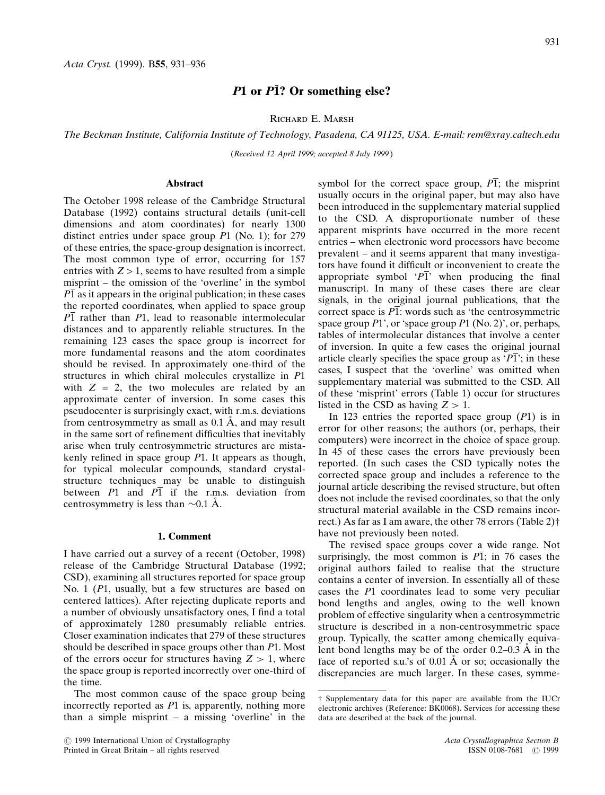# $P1$  or  $P1$ ? Or something else?

Richard E. Marsh

The Beckman Institute, California Institute of Technology, Pasadena, CA 91125, USA. E-mail: rem@xray.caltech.edu

(Received 12 April 1999; accepted 8 July 1999 )

## Abstract

The October 1998 release of the Cambridge Structural Database (1992) contains structural details (unit-cell dimensions and atom coordinates) for nearly 1300 distinct entries under space group  $P1$  (No. 1); for 279 of these entries, the space-group designation is incorrect. The most common type of error, occurring for 157 entries with  $Z > 1$ , seems to have resulted from a simple misprint – the omission of the 'overline' in the symbol  $\overline{P1}$  as it appears in the original publication; in these cases the reported coordinates, when applied to space group  $\overline{P1}$  rather than  $\overline{P1}$ , lead to reasonable intermolecular distances and to apparently reliable structures. In the remaining 123 cases the space group is incorrect for more fundamental reasons and the atom coordinates should be revised. In approximately one-third of the structures in which chiral molecules crystallize in P1 with  $Z = 2$ , the two molecules are related by an approximate center of inversion. In some cases this pseudocenter is surprisingly exact, with r.m.s. deviations from centrosymmetry as small as  $0.1 \text{ Å}$ , and may result in the same sort of refinement difficulties that inevitably arise when truly centrosymmetric structures are mistakenly refined in space group  $P1$ . It appears as though, for typical molecular compounds, standard crystalstructure techniques may be unable to distinguish between  $P1$  and  $P1$  if the r.m.s. deviation from centrosymmetry is less than  $\sim 0.1$  Å.

## 1. Comment

I have carried out a survey of a recent (October, 1998) release of the Cambridge Structural Database (1992; CSD), examining all structures reported for space group No. 1 (P1, usually, but a few structures are based on centered lattices). After rejecting duplicate reports and a number of obviously unsatisfactory ones, I find a total of approximately 1280 presumably reliable entries. Closer examination indicates that 279 of these structures should be described in space groups other than P1. Most of the errors occur for structures having  $Z > 1$ , where the space group is reported incorrectly over one-third of the time.

The most common cause of the space group being incorrectly reported as P1 is, apparently, nothing more than a simple misprint  $-$  a missing 'overline' in the symbol for the correct space group,  $\overline{PI}$ ; the misprint usually occurs in the original paper, but may also have been introduced in the supplementary material supplied to the CSD. A disproportionate number of these apparent misprints have occurred in the more recent entries - when electronic word processors have become prevalent – and it seems apparent that many investigators have found it difficult or inconvenient to create the appropriate symbol  $\overline{P1}$  when producing the final manuscript. In many of these cases there are clear signals, in the original journal publications, that the correct space is  $\overline{P1}$ : words such as 'the centrosymmetric space group  $P1'$ , or 'space group  $P1$  (No. 2)', or, perhaps, tables of intermolecular distances that involve a center of inversion. In quite a few cases the original journal article clearly specifies the space group as ' $\overline{P1}$ '; in these cases, I suspect that the `overline' was omitted when supplementary material was submitted to the CSD. All of these `misprint' errors (Table 1) occur for structures listed in the CSD as having  $Z > 1$ .

In 123 entries the reported space group  $(P1)$  is in error for other reasons; the authors (or, perhaps, their computers) were incorrect in the choice of space group. In 45 of these cases the errors have previously been reported. (In such cases the CSD typically notes the corrected space group and includes a reference to the journal article describing the revised structure, but often does not include the revised coordinates, so that the only structural material available in the CSD remains incorrect.) As far as I am aware, the other 78 errors (Table 2)² have not previously been noted.

The revised space groups cover a wide range. Not surprisingly, the most common is  $\overline{P1}$ ; in 76 cases the original authors failed to realise that the structure contains a center of inversion. In essentially all of these cases the P1 coordinates lead to some very peculiar bond lengths and angles, owing to the well known problem of effective singularity when a centrosymmetric structure is described in a non-centrosymmetric space group. Typically, the scatter among chemically equivalent bond lengths may be of the order  $0.2-0.3 \text{ Å}$  in the face of reported s.u.'s of  $0.01 \text{ Å}$  or so; occasionally the discrepancies are much larger. In these cases, symme-

² Supplementary data for this paper are available from the IUCr electronic archives (Reference: BK0068). Services for accessing these data are described at the back of the journal.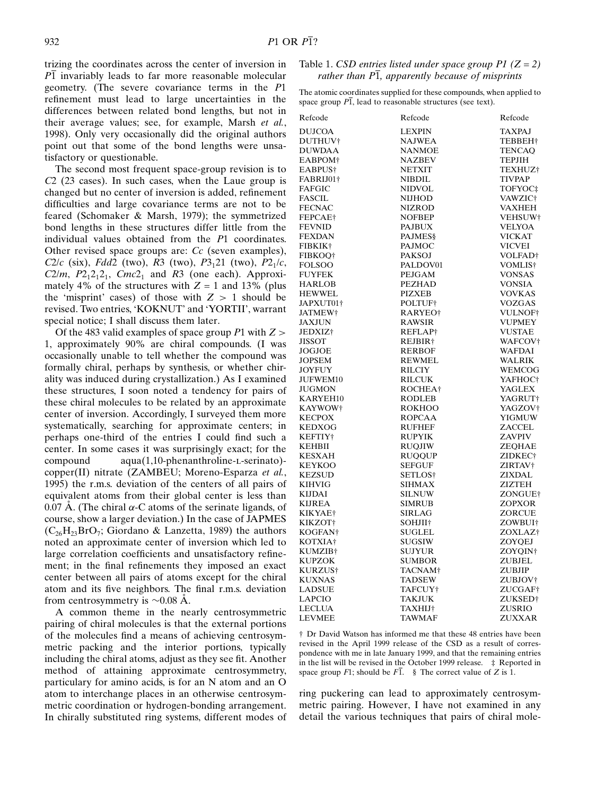trizing the coordinates across the center of inversion in  $\overline{P1}$  invariably leads to far more reasonable molecular geometry. (The severe covariance terms in the P1 refinement must lead to large uncertainties in the differences between related bond lengths, but not in their average values; see, for example, Marsh et al., 1998). Only very occasionally did the original authors point out that some of the bond lengths were unsatisfactory or questionable.

The second most frequent space-group revision is to C2 (23 cases). In such cases, when the Laue group is changed but no center of inversion is added, refinement difficulties and large covariance terms are not to be feared (Schomaker & Marsh, 1979); the symmetrized bond lengths in these structures differ little from the individual values obtained from the P1 coordinates. Other revised space groups are: Cc (seven examples), C2/c (six), Fdd2 (two), R3 (two),  $P3_121$  (two),  $P2_1/c$ ,  $C2/m$ ,  $P2_12_12_1$ ,  $Cmc2_1$  and R3 (one each). Approximately 4% of the structures with  $Z = 1$  and 13% (plus the 'misprint' cases) of those with  $Z > 1$  should be revised. Two entries, 'KOKNUT' and 'YORTII', warrant special notice; I shall discuss them later.

Of the 483 valid examples of space group  $P1$  with  $Z >$ 1, approximately 90% are chiral compounds. (I was occasionally unable to tell whether the compound was formally chiral, perhaps by synthesis, or whether chirality was induced during crystallization.) As I examined these structures, I soon noted a tendency for pairs of these chiral molecules to be related by an approximate center of inversion. Accordingly, I surveyed them more systematically, searching for approximate centers; in perhaps one-third of the entries I could find such a center. In some cases it was surprisingly exact; for the compound aqua(1,10-phenanthroline-l-serinato) copper(II) nitrate (ZAMBEU; Moreno-Esparza et al., 1995) the r.m.s. deviation of the centers of all pairs of equivalent atoms from their global center is less than 0.07 Å. (The chiral  $\alpha$ -C atoms of the serinate ligands, of course, show a larger deviation.) In the case of JAPMES  $(C_{26}H_{23}BrO_7;$  Giordano & Lanzetta, 1989) the authors noted an approximate center of inversion which led to large correlation coefficients and unsatisfactory refinement; in the final refinements they imposed an exact center between all pairs of atoms except for the chiral atom and its five neighbors. The final r.m.s. deviation from centrosymmetry is  $\sim 0.08$  Å.

A common theme in the nearly centrosymmetric pairing of chiral molecules is that the external portions of the molecules find a means of achieving centrosymmetric packing and the interior portions, typically including the chiral atoms, adjust as they see fit. Another method of attaining approximate centrosymmetry, particulary for amino acids, is for an N atom and an O atom to interchange places in an otherwise centrosymmetric coordination or hydrogen-bonding arrangement. In chirally substituted ring systems, different modes of

# Table 1. CSD entries listed under space group  $P1$  ( $Z = 2$ ) rather than  $\overline{P1}$ , apparently because of misprints

The atomic coordinates supplied for these compounds, when applied to space group  $\overline{P1}$ , lead to reasonable structures (see text).

| Refcode             | Refcode             | Refcode             |
|---------------------|---------------------|---------------------|
| <b>DUJCOA</b>       | <b>LEXPIN</b>       | TAXPAJ              |
| DUTHUV†             | <b>NAJWEA</b>       | <b>TEBBEH</b> †     |
| DUWDAA              | NANMOE              | <b>TENCAO</b>       |
| EABPOM <sup>†</sup> | <b>NAZBEV</b>       | <b>TEPJIH</b>       |
| EABPUS†             | <b>NETXIT</b>       | TEXHUZ†             |
| FABRIJ01†           | <b>NIBDIL</b>       | <b>TIVPAP</b>       |
| <b>FAFGIC</b>       | NIDVOL              | TOFYOC‡             |
| FASCIL              | <b>NIJHOD</b>       | VAWZIC†             |
| <b>FECNAC</b>       | NIZROD              | VAXHEH              |
| FEPCAE†             | <b>NOFBEP</b>       | VEHSUW†             |
| <b>FEVNID</b>       | <b>PAJBUX</b>       | <b>VELYOA</b>       |
| <b>FEXDAN</b>       | <b>PAJMES</b> §     | <b>VICKAT</b>       |
| <b>FIBKIK†</b>      | PAJMOC              | <b>VICVEI</b>       |
| <b>FIBKOO†</b>      | <b>PAKSOJ</b>       | VOLFAD†             |
| FOLSOO              | PALDOV01            |                     |
|                     |                     | VOMLIS†             |
| <b>FUYFEK</b>       | PEJGAM              | <b>VONSAS</b>       |
| <b>HARLOB</b>       | <b>PEZHAD</b>       | <b>VONSIA</b>       |
| <b>HEWWEL</b>       | <b>PIZXEB</b>       | <b>VOVKAS</b>       |
| JAPXUT01†           | POLTUF†             | <b>VOZGAS</b>       |
| JATMEW†             | RARYEO†             | VULNOF†             |
| JAXJUN              | <b>RAWSIR</b>       | <b>VUPMEY</b>       |
| JEDXIZ†             | REFLAP†             | VUSTAE              |
| <b>JISSOT</b>       | REJBIR†             | WAFCOV <sup>†</sup> |
| <b>JOGJOE</b>       | <b>RERBOF</b>       | WAFDAI              |
| JOPSEM              | REWMEL              | <b>WALRIK</b>       |
| JOYFUY              | <b>RILCIY</b>       | WEMCOG              |
| JUFWEM10            | <b>RILCUK</b>       | YAFHOC†             |
| <b>JUGMON</b>       | ROCHEA†             | <b>YAGLEX</b>       |
| KARYEH10            | <b>RODLEB</b>       | YAGRUT†             |
| KAYWOW†             | <b>ROKHOO</b>       | YAGZOV†             |
| KECPOX              | <b>ROPCAA</b>       | YIGMUW              |
| KEDXOG              | <b>RUFHEF</b>       | ZACCEL              |
| KEFTIY†             | <b>RUPYIK</b>       | ZAVPIV              |
| KEHBII              | <b>RUOJIW</b>       | ZEOHAE              |
| KESXAH              | <b>RUOOUP</b>       | ZIDKEC†             |
| KEYKOO              | <b>SEFGUF</b>       | ZIRTAV†             |
| KEZSUD              | SETLOS <sup>†</sup> | <b>ZIXDAL</b>       |
| KIHVIG              | <b>SIHMAX</b>       | ZIZTEH              |
| KIJDAI              | <b>SILNUW</b>       | ZONGUE†             |
| KIJREA              | <b>SIMRUB</b>       | <b>ZOPXOR</b>       |
| KIKYAE†             | <b>SIRLAG</b>       | ZORCUE              |
| KIKZOT†             | SOHJII†             | ZOWBUI†             |
| KOGFAN†             | SUGLEL              | ZOXLAZ <sup>†</sup> |
| KOTXIA†             | <b>SUGSIW</b>       | ZOYQEJ              |
| KUMZIB†             | <b>SUJYUR</b>       | ZOYOIN†             |
| KUPZOK              | <b>SUMBOR</b>       | ZUBJEL              |
| KURZUS†             | TACNAM <sup>†</sup> | <b>ZUBJIP</b>       |
| KUXNAS              | <b>TADSEW</b>       | ZUBJOV†             |
| <b>LADSUE</b>       | TAFCUY†             | ZUCGAF†             |
| LAPCIO              | <b>TAKJUK</b>       | ZUKSED†             |
| LECLUA              | <b>TAXHIJ†</b>      | ZUSRIO              |
| <b>LEVMEE</b>       | <b>TAWMAF</b>       | ZUXXAR              |
|                     |                     |                     |

² Dr David Watson has informed me that these 48 entries have been revised in the April 1999 release of the CSD as a result of correspondence with me in late January 1999, and that the remaining entries in the list will be revised in the October 1999 release.  $\pm$  Reported in space group F1; should be  $\overline{F1}$ . § The correct value of Z is 1.

ring puckering can lead to approximately centrosymmetric pairing. However, I have not examined in any detail the various techniques that pairs of chiral mole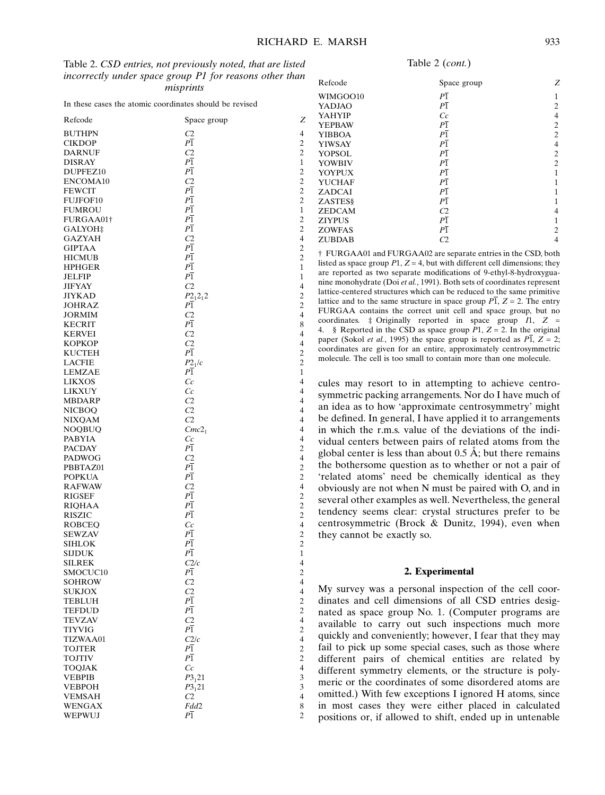In these cases the atomic coordinates should be revised

| Refcode                   | Space group              | Z                        |
|---------------------------|--------------------------|--------------------------|
|                           |                          | 4                        |
| <b>BUTHPN</b>             | C2<br>$_{P1}$            | $\overline{c}$           |
| <b>CIKDOP</b>             |                          |                          |
| DARNUF                    | C <sub>2</sub>           | $\overline{c}$           |
| <b>DISRAY</b>             | $_{P1}$                  | $\mathbf{1}$             |
| DUPFEZ10                  | $_{P1}$                  | $\overline{c}$           |
| ENCOMA10                  | C <sub>2</sub>           | $\overline{c}$           |
| <b>FEWCIT</b>             | $_{P1}$                  | $\overline{c}$           |
| FUJFOF10                  | P <sub>1</sub>           | $\overline{c}$           |
| <b>FUMROU</b>             | P <sub>1</sub>           | $\mathbf{1}$             |
| FURGAA01†                 | P <sub>1</sub>           | $\overline{c}$           |
| GALYOH‡                   | P <sub>1</sub>           | $\overline{c}$           |
| <b>GAZYAH</b>             | C2                       | $\overline{4}$           |
| <b>GIPTAA</b>             | $_{P1}$                  | $\overline{c}$           |
| <b>HICMUB</b>             | $P\overline{1}$          | $\overline{c}$           |
| <b>HPHGER</b>             | $_{P1}$                  | 1                        |
| <b>JELFIP</b>             | $P\overline{1}$          | 1                        |
| <b>JIFYAY</b>             | C <sub>2</sub>           | 4                        |
| JIYKAD                    | $P2_12_12$               | $\overline{c}$           |
| JOHRAZ                    | Ρ1                       | $\overline{c}$           |
| <b>JORMIM</b>             | C2                       | $\overline{4}$           |
| <b>KECRIT</b>             | P <sub>1</sub>           | 8                        |
| <b>KERVEI</b>             | C2                       | 4                        |
| <b>KOPKOP</b>             | C <sub>2</sub>           | 4                        |
| <b>KUCTEH</b>             | $P\overline{1}$          | $\overline{c}$           |
|                           |                          | 2                        |
| LACFIE<br><b>LEMZAE</b>   | P2 <sub>1</sub> /c<br>P1 |                          |
|                           |                          | 1                        |
| <b>LIKXOS</b>             | Cc                       | 4                        |
| LIKXUY                    | Cc                       | 4                        |
| <b>MBDARP</b>             | C <sub>2</sub>           | 4                        |
| <b>NICBOQ</b>             | C <sub>2</sub>           | 4                        |
| NIXQAM                    | C <sub>2</sub>           | 4                        |
| NOQBUQ                    | $Cmc2_1$                 | 4                        |
| PABYIA                    | Сc                       | 4                        |
| PACDAY                    | P1                       | $\overline{c}$           |
| PADWOG                    | C2                       | 4                        |
| PBBTAZ01                  | $P\overline{1}$          | $\overline{c}$           |
| <b>POPKUA</b>             | $_{P1}$                  | $\overline{c}$           |
| <b>RAFWAW</b>             | C2                       | $\overline{\mathbf{4}}$  |
| <b>RIGSEF</b>             | $P\overline{1}$          | $\overline{\mathbf{c}}$  |
| RIQHAA                    | $P\overline{1}$          | $\overline{c}$           |
| <b>RISZIC</b>             | P <sub>1</sub>           | $\overline{c}$           |
| <b>ROBCEO</b>             | $_{Cc}$                  | $\overline{4}$           |
| SEWZAV                    | $\overline{P1}$          | $\overline{\mathbf{c}}$  |
| SIHLOK                    | P <sub>1</sub>           | $\overline{c}$           |
| <b>SIJDUK</b>             | $P\overline{1}$          | $\mathbf{1}$             |
| <b>SILREK</b>             | C2/c                     | 4                        |
| SMOCUC10                  | $P\overline{1}$          | $\overline{c}$           |
| <b>SOHROW</b>             | C2                       | $\overline{4}$           |
| SUKJOX                    | C <sub>2</sub>           | 4                        |
| TEBLUH                    | $P\overline{1}$          | $\overline{\mathbf{c}}$  |
| TEFDUD                    | $P\overline{1}$          | $\sqrt{2}$               |
| TEVZAV                    | C <sub>2</sub>           | $\overline{\mathbf{4}}$  |
| TIYVIG                    | $\overline{P1}$          | $\overline{\mathbf{c}}$  |
|                           | C2/c                     | $\overline{\mathbf{4}}$  |
| TIZWAA01<br><b>TOJTER</b> | $P\overline{1}$          | $\overline{c}$           |
|                           | $\overline{P1}$          |                          |
| <b>TOJTIV</b>             |                          | $\overline{c}$           |
| <b>TOQJAK</b>             | $\mathbb{C}$ c           | $\overline{\mathcal{L}}$ |
| <b>VEBPIB</b>             | $P3_121$                 | 3                        |
| VEBPOH                    | $P3_121$                 | 3                        |
| <b>VEMSAH</b>             | C <sub>2</sub>           | $\overline{\mathbf{4}}$  |
| <b>WENGAX</b>             | Fdd2                     | 8                        |
| WEPWUJ                    | $_{P1}$                  | $\overline{c}$           |

Table 2 (cont.)

| Refcode         | Space group     | Z              |
|-----------------|-----------------|----------------|
| WIMGOO10        | $P\overline{1}$ | 1              |
| YADJAO          | $P\overline{1}$ | 2              |
| <b>YAHYIP</b>   | Cc              | 4              |
| <b>YEPBAW</b>   | $\overline{P1}$ | $\overline{c}$ |
| YIBBOA          | $P\overline{1}$ | $\overline{c}$ |
| <b>YIWSAY</b>   | $P\overline{1}$ | 4              |
| <b>YOPSOL</b>   | $P\overline{1}$ | $\overline{c}$ |
| <b>YOWBIV</b>   | $P\overline{1}$ | $\overline{c}$ |
| <b>YOYPUX</b>   | $P\overline{1}$ | 1              |
| <b>YUCHAF</b>   | $P\overline{1}$ |                |
| ZADCAI          | $P\overline{1}$ |                |
| <b>ZASTES</b> § | $P\overline{1}$ |                |
| <b>ZEDCAM</b>   | C <sub>2</sub>  | 4              |
| <b>ZIYPUS</b>   | $P\overline{1}$ |                |
| <b>ZOWFAS</b>   | $\overline{P1}$ | $\mathfrak{D}$ |
| <b>ZUBDAB</b>   | C2              | 4              |

² FURGAA01 and FURGAA02 are separate entries in the CSD, both listed as space group  $P1$ ,  $Z = 4$ , but with different cell dimensions; they are reported as two separate modifications of 9-ethyl-8-hydroxyguanine monohydrate (Doi et al., 1991). Both sets of coordinates represent lattice-centered structures which can be reduced to the same primitive lattice and to the same structure in space group  $\overline{PI}$ ,  $Z = 2$ . The entry FURGAA contains the correct unit cell and space group, but no coordinates.  $\ddagger$  Originally reported in space group  $I1$ ,  $Z =$ 4. § Reported in the CSD as space group  $P1$ ,  $Z = 2$ . In the original paper (Sokol *et al.*, 1995) the space group is reported as  $P\overline{1}$ ,  $Z = 2$ ; coordinates are given for an entire, approximately centrosymmetric molecule. The cell is too small to contain more than one molecule.

cules may resort to in attempting to achieve centrosymmetric packing arrangements. Nor do I have much of an idea as to how `approximate centrosymmetry' might be defined. In general, I have applied it to arrangements in which the r.m.s. value of the deviations of the individual centers between pairs of related atoms from the global center is less than about  $0.5 \text{ Å}$ ; but there remains the bothersome question as to whether or not a pair of `related atoms' need be chemically identical as they obviously are not when N must be paired with O, and in several other examples as well. Nevertheless, the general tendency seems clear: crystal structures prefer to be centrosymmetric (Brock & Dunitz, 1994), even when they cannot be exactly so.

#### 2. Experimental

My survey was a personal inspection of the cell coordinates and cell dimensions of all CSD entries designated as space group No. 1. (Computer programs are available to carry out such inspections much more quickly and conveniently; however, I fear that they may fail to pick up some special cases, such as those where different pairs of chemical entities are related by different symmetry elements, or the structure is polymeric or the coordinates of some disordered atoms are omitted.) With few exceptions I ignored H atoms, since in most cases they were either placed in calculated positions or, if allowed to shift, ended up in untenable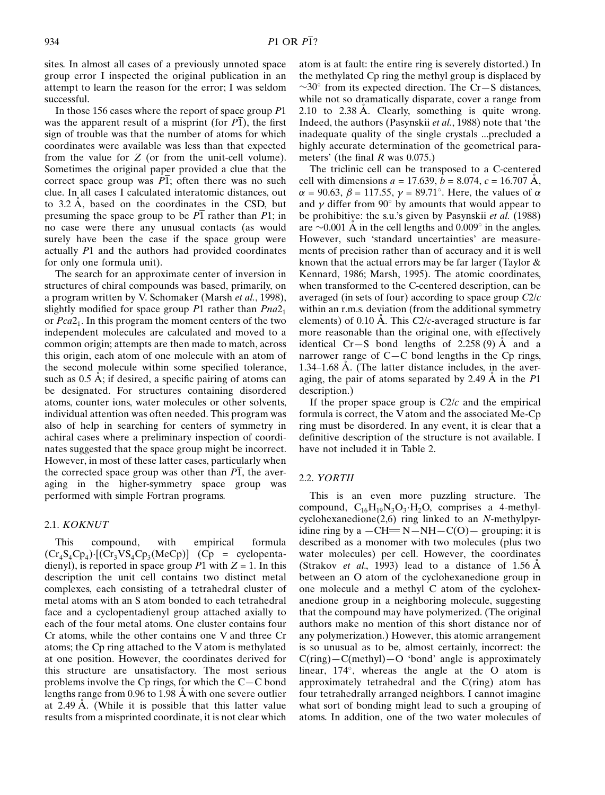sites. In almost all cases of a previously unnoted space group error I inspected the original publication in an attempt to learn the reason for the error; I was seldom successful.

In those 156 cases where the report of space group P1 was the apparent result of a misprint (for  $\overline{P1}$ ), the first sign of trouble was that the number of atoms for which coordinates were available was less than that expected from the value for Z (or from the unit-cell volume). Sometimes the original paper provided a clue that the correct space group was  $\overline{P1}$ ; often there was no such clue. In all cases I calculated interatomic distances, out to  $3.2 \text{ Å}$ , based on the coordinates in the CSD, but presuming the space group to be  $\overline{P1}$  rather than  $P1$ ; in no case were there any unusual contacts (as would surely have been the case if the space group were actually P1 and the authors had provided coordinates for only one formula unit).

The search for an approximate center of inversion in structures of chiral compounds was based, primarily, on a program written by V. Schomaker (Marsh et al., 1998), slightly modified for space group P1 rather than  $Pna2<sub>1</sub>$ or  $Pca2<sub>1</sub>$ . In this program the moment centers of the two independent molecules are calculated and moved to a common origin; attempts are then made to match, across this origin, each atom of one molecule with an atom of the second molecule within some specified tolerance, such as  $0.5 \text{ Å}$ ; if desired, a specific pairing of atoms can be designated. For structures containing disordered atoms, counter ions, water molecules or other solvents, individual attention was often needed. This program was also of help in searching for centers of symmetry in achiral cases where a preliminary inspection of coordinates suggested that the space group might be incorrect. However, in most of these latter cases, particularly when the corrected space group was other than  $P\overline{1}$ , the averaging in the higher-symmetry space group was performed with simple Fortran programs.

# 2.1. KOKNUT

This compound, with empirical formula  $(Cr_4S_4Cp_4)\cdot [(Cr_3VS_4Cp_3(MeCp)]$   $(Cp = cyclopenta$ dienyl), is reported in space group P1 with  $Z = 1$ . In this description the unit cell contains two distinct metal complexes, each consisting of a tetrahedral cluster of metal atoms with an S atom bonded to each tetrahedral face and a cyclopentadienyl group attached axially to each of the four metal atoms. One cluster contains four Cr atoms, while the other contains one V and three Cr atoms; the Cp ring attached to the V atom is methylated at one position. However, the coordinates derived for this structure are unsatisfactory. The most serious problems involve the Cp rings, for which the  $C-C$  bond lengths range from  $0.96$  to  $1.98$  Å with one severe outlier at  $2.49$  Å. (While it is possible that this latter value results from a misprinted coordinate, it is not clear which atom is at fault: the entire ring is severely distorted.) In the methylated Cp ring the methyl group is displaced by  $\sim$ 30 $\degree$  from its expected direction. The Cr–S distances, while not so dramatically disparate, cover a range from 2.10 to  $2.38 \text{ Å}$ . Clearly, something is quite wrong. Indeed, the authors (Pasynskii et al., 1988) note that 'the inadequate quality of the single crystals ...precluded a highly accurate determination of the geometrical parameters' (the final  $R$  was 0.075.)

The triclinic cell can be transposed to a C-centered cell with dimensions  $a = 17.639$ ,  $b = 8.074$ ,  $c = 16.707$  Å,  $\alpha$  = 90.63,  $\beta$  = 117.55,  $\gamma$  = 89.71°. Here, the values of  $\alpha$ and  $\gamma$  differ from 90 $\degree$  by amounts that would appear to be prohibitive: the s.u.'s given by Pasynskii et al. (1988) are  $\sim$ 0.001 Å in the cell lengths and 0.009 $^{\circ}$  in the angles. However, such 'standard uncertainties' are measurements of precision rather than of accuracy and it is well known that the actual errors may be far larger (Taylor & Kennard, 1986; Marsh, 1995). The atomic coordinates, when transformed to the C-centered description, can be averaged (in sets of four) according to space group C2/c within an r.m.s. deviation (from the additional symmetry elements) of 0.10 Å. This  $C2/c$ -averaged structure is far more reasonable than the original one, with effectively identical Cr $-S$  bond lengths of 2.258 (9)  $\AA$  and a narrower range of  $C-C$  bond lengths in the Cp rings, 1.34 $-1.68$  Å. (The latter distance includes, in the averaging, the pair of atoms separated by 2.49  $\AA$  in the P1 description.)

If the proper space group is  $C2/c$  and the empirical formula is correct, the V atom and the associated Me-Cp ring must be disordered. In any event, it is clear that a definitive description of the structure is not available. I have not included it in Table 2.

## 2.2. YORTII

This is an even more puzzling structure. The compound,  $C_{16}H_{19}N_3O_3 \cdot H_2O$ , comprises a 4-methylcyclohexanedione(2,6) ring linked to an N-methylpyridine ring by a  $-CH = N-NH-C(O)$  grouping; it is described as a monomer with two molecules (plus two water molecules) per cell. However, the coordinates (Strakov *et al.*, 1993) lead to a distance of  $1.56 \text{ Å}$ between an O atom of the cyclohexanedione group in one molecule and a methyl C atom of the cyclohexanedione group in a neighboring molecule, suggesting that the compound may have polymerized. (The original authors make no mention of this short distance nor of any polymerization.) However, this atomic arrangement is so unusual as to be, almost certainly, incorrect: the  $C(ring) – C(methyl) – O$  'bond' angle is approximately linear,  $174^\circ$ , whereas the angle at the O atom is approximately tetrahedral and the C(ring) atom has four tetrahedrally arranged neighbors. I cannot imagine what sort of bonding might lead to such a grouping of atoms. In addition, one of the two water molecules of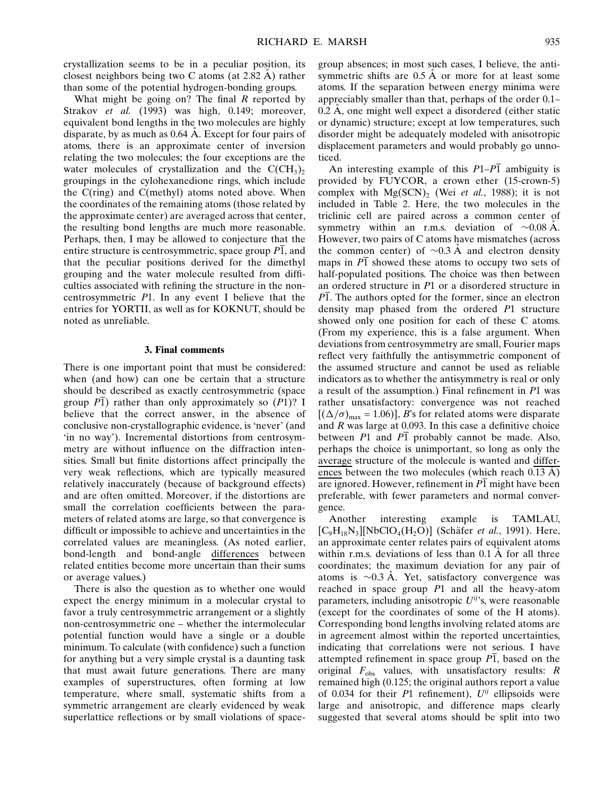crystallization seems to be in a peculiar position, its closest neighbors being two C atoms (at  $2.82 \text{ Å}$ ) rather than some of the potential hydrogen-bonding groups.

What might be going on? The final  $R$  reported by Strakov et al. (1993) was high, 0.149; moreover, equivalent bond lengths in the two molecules are highly disparate, by as much as  $0.64$  Å. Except for four pairs of atoms, there is an approximate center of inversion relating the two molecules; the four exceptions are the water molecules of crystallization and the  $C(CH_3)$ , groupings in the cylohexanedione rings, which include the C(ring) and C(methyl) atoms noted above. When the coordinates of the remaining atoms (those related by the approximate center) are averaged across that center, the resulting bond lengths are much more reasonable. Perhaps, then, I may be allowed to conjecture that the entire structure is centrosymmetric, space group P1, and that the peculiar positions derived for the dimethyl grouping and the water molecule resulted from difficulties associated with refining the structure in the noncentrosymmetric P1. In any event I believe that the entries for YORTII, as well as for KOKNUT, should be noted as unreliable.

### 3. Final comments

There is one important point that must be considered: when (and how) can one be certain that a structure should be described as exactly centrosymmetric (space group  $\overline{P1}$ ) rather than only approximately so  $(P1)$ ? I believe that the correct answer, in the absence of conclusive non-crystallographic evidence, is `never' (and `in no way'). Incremental distortions from centrosymmetry are without influence on the diffraction intensities. Small but finite distortions affect principally the very weak reflections, which are typically measured relatively inaccurately (because of background effects) and are often omitted. Moreover, if the distortions are small the correlation coefficients between the parameters of related atoms are large, so that convergence is difficult or impossible to achieve and uncertainties in the correlated values are meaningless. (As noted earlier, bond-length and bond-angle differences between related entities become more uncertain than their sums or average values.)

There is also the question as to whether one would expect the energy minimum in a molecular crystal to favor a truly centrosymmetric arrangement or a slightly non-centrosymmetric one – whether the intermolecular potential function would have a single or a double minimum. To calculate (with confidence) such a function for anything but a very simple crystal is a daunting task that must await future generations. There are many examples of superstructures, often forming at low temperature, where small, systematic shifts from a symmetric arrangement are clearly evidenced by weak superlattice reflections or by small violations of spacegroup absences; in most such cases, I believe, the antisymmetric shifts are  $0.5 \text{ Å}$  or more for at least some atoms. If the separation between energy minima were appreciably smaller than that, perhaps of the order 0.1- $0.2$  Å, one might well expect a disordered (either static or dynamic) structure; except at low temperatures, such disorder might be adequately modeled with anisotropic displacement parameters and would probably go unnoticed.

An interesting example of this  $P1-P\overline{1}$  ambiguity is provided by FUYCOR, a crown ether (15-crown-5) complex with  $Mg(SCN)$ , (Wei et al., 1988); it is not included in Table 2. Here, the two molecules in the triclinic cell are paired across a common center of symmetry within an r.m.s. deviation of  $\sim 0.08$  Å. However, two pairs of C atoms have mismatches (across the common center) of  $\sim 0.3$  Å and electron density maps in  $\overline{P1}$  showed these atoms to occupy two sets of half-populated positions. The choice was then between an ordered structure in P1 or a disordered structure in  $\overline{P1}$ . The authors opted for the former, since an electron density map phased from the ordered P1 structure showed only one position for each of these C atoms. (From my experience, this is a false argument. When deviations from centrosymmetry are small, Fourier maps reflect very faithfully the antisymmetric component of the assumed structure and cannot be used as reliable indicators as to whether the antisymmetry is real or only a result of the assumption.) Final refinement in  $P1$  was rather unsatisfactory: convergence was not reached  $[(\Delta/\sigma)_{\text{max}} = 1.06)]$ , B's for related atoms were disparate and  $R$  was large at 0.093. In this case a definitive choice between  $P1$  and  $P1$  probably cannot be made. Also, perhaps the choice is unimportant, so long as only the average structure of the molecule is wanted and differences between the two molecules (which reach  $0.13 \text{ Å}$ ) are ignored. However, refinement in  $\overline{P1}$  might have been preferable, with fewer parameters and normal convergence.

Another interesting example is TAMLAU,  $[C_9H_{18}N_3][NbClO_4(H_2O)]$  (Schäfer *et al.*, 1991). Here, an approximate center relates pairs of equivalent atoms within r.m.s. deviations of less than  $0.1 \text{ Å}$  for all three coordinates; the maximum deviation for any pair of atoms is  $\sim 0.3$  Å. Yet, satisfactory convergence was reached in space group P1 and all the heavy-atom parameters, including anisotropic  $U^{ij}$ 's, were reasonable (except for the coordinates of some of the H atoms). Corresponding bond lengths involving related atoms are in agreement almost within the reported uncertainties, indicating that correlations were not serious. I have attempted refinement in space group  $\overline{PI}$ , based on the original  $F_{obs}$  values, with unsatisfactory results: R remained high (0.125; the original authors report a value of 0.034 for their P1 refinement),  $U^{ij}$  ellipsoids were large and anisotropic, and difference maps clearly suggested that several atoms should be split into two